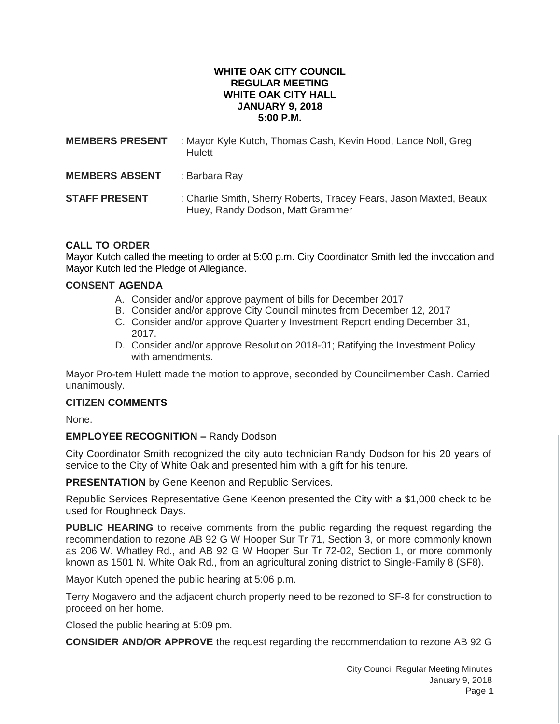#### **WHITE OAK CITY COUNCIL REGULAR MEETING WHITE OAK CITY HALL JANUARY 9, 2018 5:00 P.M.**

| <b>MEMBERS PRESENT</b> | : Mayor Kyle Kutch, Thomas Cash, Kevin Hood, Lance Noll, Greg<br><b>Hulett</b>                         |
|------------------------|--------------------------------------------------------------------------------------------------------|
| <b>MEMBERS ABSENT</b>  | : Barbara Ray                                                                                          |
| <b>STAFF PRESENT</b>   | : Charlie Smith, Sherry Roberts, Tracey Fears, Jason Maxted, Beaux<br>Huey, Randy Dodson, Matt Grammer |

## **CALL TO ORDER**

Mayor Kutch called the meeting to order at 5:00 p.m. City Coordinator Smith led the invocation and Mayor Kutch led the Pledge of Allegiance.

### **CONSENT AGENDA**

- A. Consider and/or approve payment of bills for December 2017
- B. Consider and/or approve City Council minutes from December 12, 2017
- C. Consider and/or approve Quarterly Investment Report ending December 31, 2017.
- D. Consider and/or approve Resolution 2018-01; Ratifying the Investment Policy with amendments.

Mayor Pro-tem Hulett made the motion to approve, seconded by Councilmember Cash. Carried unanimously.

### **CITIZEN COMMENTS**

None.

### **EMPLOYEE RECOGNITION –** Randy Dodson

City Coordinator Smith recognized the city auto technician Randy Dodson for his 20 years of service to the City of White Oak and presented him with a gift for his tenure.

**PRESENTATION** by Gene Keenon and Republic Services.

Republic Services Representative Gene Keenon presented the City with a \$1,000 check to be used for Roughneck Days.

**PUBLIC HEARING** to receive comments from the public regarding the request regarding the recommendation to rezone AB 92 G W Hooper Sur Tr 71, Section 3, or more commonly known as 206 W. Whatley Rd., and AB 92 G W Hooper Sur Tr 72-02, Section 1, or more commonly known as 1501 N. White Oak Rd., from an agricultural zoning district to Single-Family 8 (SF8).

Mayor Kutch opened the public hearing at 5:06 p.m.

Terry Mogavero and the adjacent church property need to be rezoned to SF-8 for construction to proceed on her home.

Closed the public hearing at 5:09 pm.

**CONSIDER AND/OR APPROVE** the request regarding the recommendation to rezone AB 92 G